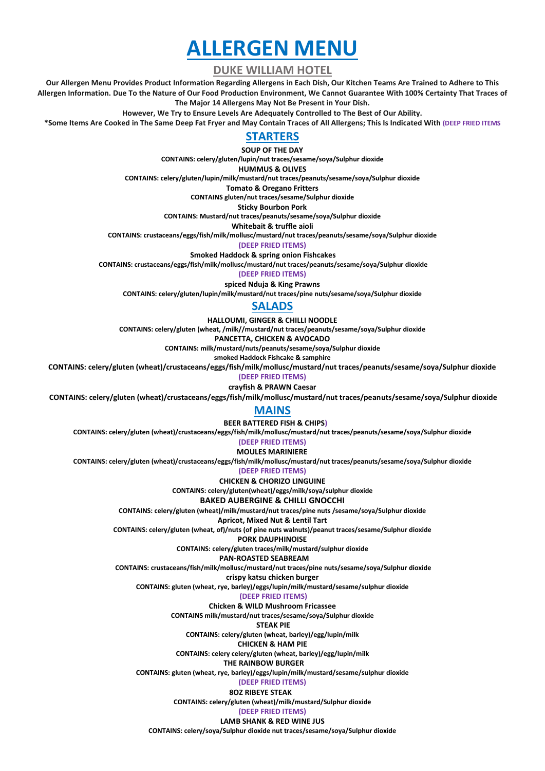# **ALLERGEN MENU**

**DUKE WILLIAM HOTEL**

**Our Allergen Menu Provides Product Information Regarding Allergens in Each Dish, Our Kitchen Teams Are Trained to Adhere to This Allergen Information. Due To the Nature of Our Food Production Environment, We Cannot Guarantee With 100% Certainty That Traces of The Major 14 Allergens May Not Be Present in Your Dish.**

**However, We Try to Ensure Levels Are Adequately Controlled to The Best of Our Ability.**

**\*Some Items Are Cooked in The Same Deep Fat Fryer and May Contain Traces of All Allergens; This Is Indicated With (DEEP FRIED ITEMS**

## **STARTERS**

**SOUP OF THE DAY**

**CONTAINS: celery/gluten/lupin/nut traces/sesame/soya/Sulphur dioxide**

**HUMMUS & OLIVES**

**CONTAINS: celery/gluten/lupin/milk/mustard/nut traces/peanuts/sesame/soya/Sulphur dioxide**

**Tomato & Oregano Fritters CONTAINS gluten/nut traces/sesame/Sulphur dioxide**

**Sticky Bourbon Pork**

**CONTAINS: Mustard/nut traces/peanuts/sesame/soya/Sulphur dioxide**

**Whitebait & truffle aioli**

**CONTAINS: crustaceans/eggs/fish/milk/mollusc/mustard/nut traces/peanuts/sesame/soya/Sulphur dioxide**

**(DEEP FRIED ITEMS)**

 **Smoked Haddock & spring onion Fishcakes**

**CONTAINS: crustaceans/eggs/fish/milk/mollusc/mustard/nut traces/peanuts/sesame/soya/Sulphur dioxide**

**(DEEP FRIED ITEMS)**

**spiced Nduja & King Prawns**

**CONTAINS: celery/gluten/lupin/milk/mustard/nut traces/pine nuts/sesame/soya/Sulphur dioxide**

# **SALADS**

**HALLOUMI, GINGER & CHILLI NOODLE**

**CONTAINS: celery/gluten (wheat, /milk//mustard/nut traces/peanuts/sesame/soya/Sulphur dioxide**

**PANCETTA, CHICKEN & AVOCADO**

**CONTAINS: milk/mustard/nuts/peanuts/sesame/soya/Sulphur dioxide**

**smoked Haddock Fishcake & samphire**

**CONTAINS: celery/gluten (wheat)/crustaceans/eggs/fish/milk/mollusc/mustard/nut traces/peanuts/sesame/soya/Sulphur dioxide**

**(DEEP FRIED ITEMS)**

**crayfish & PRAWN Caesar CONTAINS: celery/gluten (wheat)/crustaceans/eggs/fish/milk/mollusc/mustard/nut traces/peanuts/sesame/soya/Sulphur dioxide**

#### **MAINS**

 **BEER BATTERED FISH & CHIPS)**

**CONTAINS: celery/gluten (wheat)/crustaceans/eggs/fish/milk/mollusc/mustard/nut traces/peanuts/sesame/soya/Sulphur dioxide**

**(DEEP FRIED ITEMS)**

 **MOULES MARINIERE**

**CONTAINS: celery/gluten (wheat)/crustaceans/eggs/fish/milk/mollusc/mustard/nut traces/peanuts/sesame/soya/Sulphur dioxide**

**(DEEP FRIED ITEMS)**

**CHICKEN & CHORIZO LINGUINE CONTAINS: celery/gluten(wheat)/eggs/milk/soya/sulphur dioxide**

**BAKED AUBERGINE & CHILLI GNOCCHI**

**CONTAINS: celery/gluten (wheat)/milk/mustard/nut traces/pine nuts /sesame/soya/Sulphur dioxide**

**Apricot, Mixed Nut & Lentil Tart**

**CONTAINS: celery/gluten (wheat, of)/nuts (of pine nuts walnuts)/peanut traces/sesame/Sulphur dioxide**

**PORK DAUPHINOISE**

**CONTAINS: celery/gluten traces/milk/mustard/sulphur dioxide**

 **PAN-ROASTED SEABREAM**

**CONTAINS: crustaceans/fish/milk/mollusc/mustard/nut traces/pine nuts/sesame/soya/Sulphur dioxide**

**crispy katsu chicken burger**

**CONTAINS: gluten (wheat, rye, barley)/eggs/lupin/milk/mustard/sesame/sulphur dioxide**

**(DEEP FRIED ITEMS)**

**Chicken & WILD Mushroom Fricassee**

**CONTAINS milk/mustard/nut traces/sesame/soya/Sulphur dioxide**

**STEAK PIE** 

**CONTAINS: celery/gluten (wheat, barley)/egg/lupin/milk**

**CHICKEN & HAM PIE**

**CONTAINS: celery celery/gluten (wheat, barley)/egg/lupin/milk**

 **THE RAINBOW BURGER**

**CONTAINS: gluten (wheat, rye, barley)/eggs/lupin/milk/mustard/sesame/sulphur dioxide**

**(DEEP FRIED ITEMS)**

 **8OZ RIBEYE STEAK CONTAINS: celery/gluten (wheat)/milk/mustard/Sulphur dioxide (DEEP FRIED ITEMS)**

**LAMB SHANK & RED WINE JUS CONTAINS: celery/soya/Sulphur dioxide nut traces/sesame/soya/Sulphur dioxide**